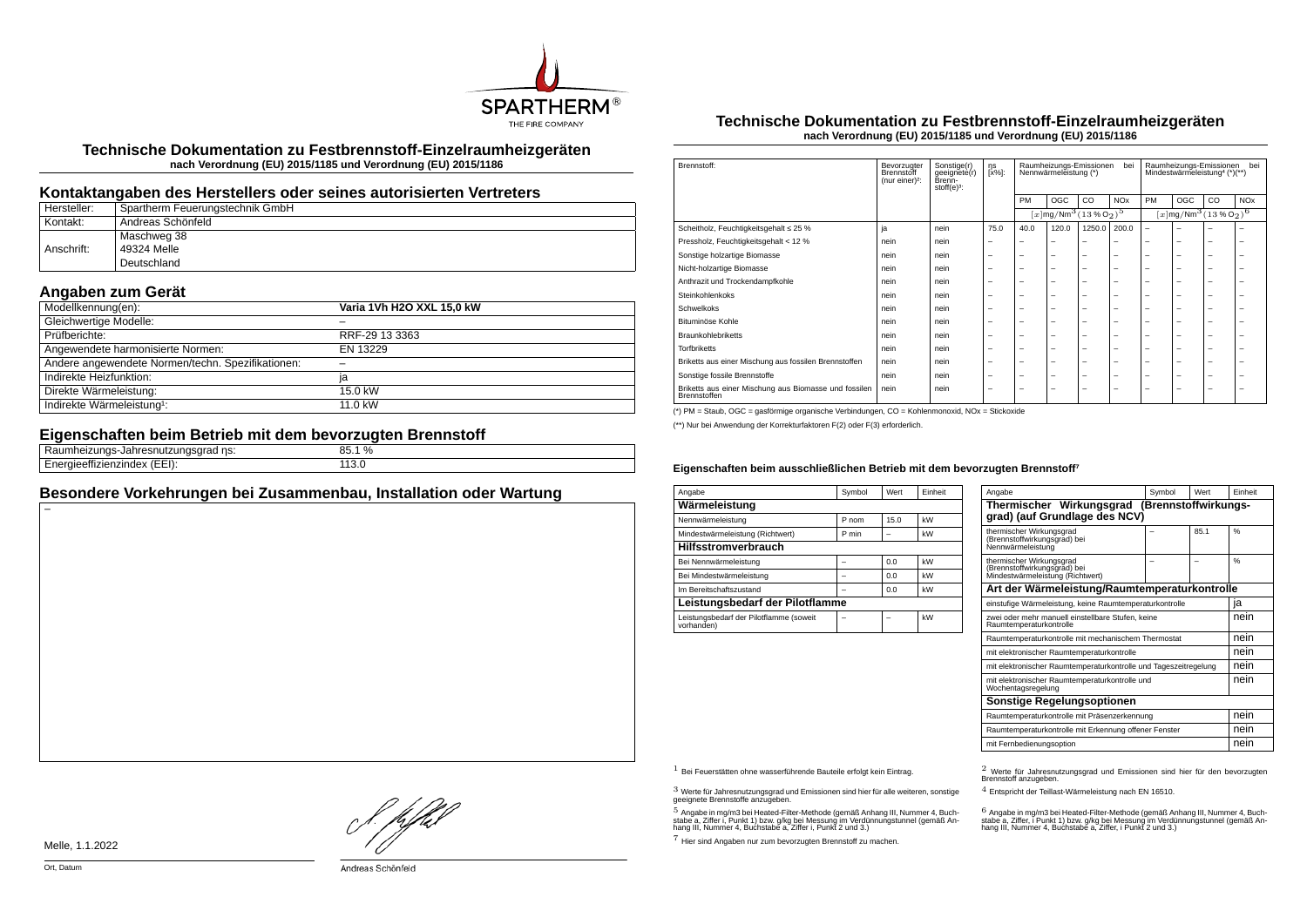

**Technische Dokumentation zu Festbrennstoff-Einzelraumheizgeräten nach Verordnung (EU) 2015/1185 und Verordnung (EU) 2015/1186**

## **Kontaktangaben des Herstellers oder seines autorisierten Vertreters**

| Hersteller: | Spartherm Feuerungstechnik GmbH |
|-------------|---------------------------------|
| Kontakt:    | ' Andreas Schönfeld             |
|             | Maschweg 38                     |
| Anschrift:  | 49324 Melle                     |
|             | Deutschland                     |

# **Angaben zum Gerät**

| Modellkennung(en):                                | Varia 1Vh H2O XXL 15,0 kW |
|---------------------------------------------------|---------------------------|
| Gleichwertige Modelle:                            |                           |
| Prüfberichte:                                     | RRF-29 13 3363            |
| Angewendete harmonisierte Normen:                 | EN 13229                  |
| Andere angewendete Normen/techn. Spezifikationen: |                           |
| Indirekte Heizfunktion:                           | ıa                        |
| Direkte Wärmeleistung:                            | 15.0 kW                   |
| Indirekte Wärmeleistung <sup>1</sup> :            | 11.0 kW                   |

## **Eigenschaften beim Betrieb mit dem bevorzugten Brennstoff**

| ns:<br>.<br>не<br>idu<br>- -              | $\%$<br>oΕ<br>∟.ט. |  |
|-------------------------------------------|--------------------|--|
| <br>$\sim -1$<br>. <i>.</i><br>--<br>---- | ⊥⊥∪.∪<br>__        |  |
|                                           |                    |  |

## **Besondere Vorkehrungen bei Zusammenbau, Installation oder Wartung**

#### **Technische Dokumentation zu Festbrennstoff-Einzelraumheizgeräten nach Verordnung (EU) 2015/1185 und Verordnung (EU) 2015/1186**

| Brennstoff:                                                           | Bevorzugter<br>Brennstoff<br>(nur einer) <sup>2</sup> : | Sonstige(r)<br>geeignete(r)<br>Brenn-<br>$stoff(e)3$ : | ηs<br>[x%]: | bei<br>Raumheizungs-Emissionen<br>Nennwärmeleistung (*) |                                                        |                          |                       | hei<br>Raumheizungs-Emissionen<br>Mindestwärmeleistung <sup>4</sup> (*)(**) |     |    |                       |
|-----------------------------------------------------------------------|---------------------------------------------------------|--------------------------------------------------------|-------------|---------------------------------------------------------|--------------------------------------------------------|--------------------------|-----------------------|-----------------------------------------------------------------------------|-----|----|-----------------------|
|                                                                       |                                                         |                                                        |             | PM                                                      | <b>OGC</b>                                             | CO.                      | <b>NO<sub>x</sub></b> | PM                                                                          | OGC | CO | <b>NO<sub>x</sub></b> |
|                                                                       |                                                         |                                                        |             |                                                         | $\sqrt{x \log N}$ Mm <sup>3</sup> $\sqrt{(13\%0_2)^5}$ |                          |                       | $[x]$ mg/Nm <sup>3</sup> (13 % O <sub>2</sub> ) <sup>6</sup>                |     |    |                       |
| Scheitholz, Feuchtigkeitsgehalt ≤ 25 %                                | ja                                                      | nein                                                   | 75.0        | 40.0                                                    | 120.0                                                  | 1250.0                   | 200.0                 | $\overline{\phantom{0}}$                                                    | ۰   |    |                       |
| Pressholz, Feuchtigkeitsgehalt < 12 %                                 | nein                                                    | nein                                                   | -           | -                                                       | -                                                      | -                        |                       | -                                                                           | -   | -  | -                     |
| Sonstige holzartige Biomasse                                          | nein                                                    | nein                                                   | -           | -                                                       | $\overline{\phantom{a}}$                               | $\overline{\phantom{0}}$ | -                     | -                                                                           | -   | -  | -                     |
| Nicht-holzartige Biomasse                                             | nein                                                    | nein                                                   | -           | -                                                       | $\overline{\phantom{a}}$                               | $\overline{\phantom{0}}$ | -                     | -                                                                           | -   | -  | -                     |
| Anthrazit und Trockendampfkohle                                       | nein                                                    | nein                                                   | -           | -                                                       | $\overline{\phantom{a}}$                               | $\overline{\phantom{0}}$ | -                     | -                                                                           | -   | -  | -                     |
| Steinkohlenkoks                                                       | nein                                                    | nein                                                   | -           | -                                                       | $\overline{\phantom{a}}$                               | $\overline{\phantom{0}}$ | -                     | -                                                                           | -   | -  | -                     |
| Schwelkoks                                                            | nein                                                    | nein                                                   | -           | -                                                       | $\overline{\phantom{a}}$                               | $\overline{\phantom{0}}$ | -                     | -                                                                           | -   | -  | -                     |
| Bituminöse Kohle                                                      | nein                                                    | nein                                                   | -           | -                                                       | $\overline{\phantom{a}}$                               | $\overline{\phantom{0}}$ | -                     | -                                                                           | -   | -  | -                     |
| <b>Braunkohlebriketts</b>                                             | nein                                                    | nein                                                   | -           | -                                                       | $\overline{\phantom{a}}$                               | $\overline{\phantom{0}}$ | -                     | -                                                                           | -   | -  | -                     |
| <b>Torfbriketts</b>                                                   | nein                                                    | nein                                                   | -           | -                                                       | $\overline{\phantom{a}}$                               | $\overline{\phantom{0}}$ | -                     | -                                                                           | -   | -  | -                     |
| Briketts aus einer Mischung aus fossilen Brennstoffen                 | nein                                                    | nein                                                   | -           | -                                                       | $\overline{\phantom{a}}$                               | $\overline{\phantom{0}}$ | -                     | -                                                                           | -   | -  | -                     |
| Sonstige fossile Brennstoffe                                          | nein                                                    | nein                                                   | -           | -                                                       | $\overline{\phantom{a}}$                               | $\overline{\phantom{0}}$ | -                     | -                                                                           | -   | -  | -                     |
| Briketts aus einer Mischung aus Biomasse und fossilen<br>Brennstoffen | nein                                                    | nein                                                   | -           | -                                                       | $\overline{\phantom{a}}$                               | $\overline{\phantom{0}}$ | -                     | -                                                                           | -   | -  | -                     |

(\*) PM = Staub, OGC = gasförmige organische Verbindungen, CO = Kohlenmonoxid, NOx = Stickoxide

(\*\*) Nur bei Anwendung der Korrekturfaktoren F(2) oder F(3) erforderlich.

#### **Eigenschaften beim ausschließlichen Betrieb mit dem bevorzugten Brennstoff⁷**

| Angabe                                                | Symbol | Wert | Einheit |  |  |  |
|-------------------------------------------------------|--------|------|---------|--|--|--|
| Wärmeleistung                                         |        |      |         |  |  |  |
| Nennwärmeleistung                                     | P nom  | 15.0 | kW      |  |  |  |
| Mindestwärmeleistung (Richtwert)                      | P min  |      | kW      |  |  |  |
| <b>Hilfsstromverbrauch</b>                            |        |      |         |  |  |  |
| Bei Nennwärmeleistung                                 |        | 0.0  | kW      |  |  |  |
| Bei Mindestwärmeleistung                              |        | 0.0  | kW      |  |  |  |
| Im Bereitschaftszustand                               |        | 0.0  | kW      |  |  |  |
| Leistungsbedarf der Pilotflamme                       |        |      |         |  |  |  |
| Leistungsbedarf der Pilotflamme (soweit<br>vorhanden) |        |      | kW      |  |  |  |

| Angabe                                                                                       | Symbol | Wert | Finheit       |  |  |
|----------------------------------------------------------------------------------------------|--------|------|---------------|--|--|
| Thermischer Wirkungsgrad (Brennstoffwirkungs-<br>grad) (auf Grundlage des NCV)               |        |      |               |  |  |
| thermischer Wirkungsgrad<br>(Brennstoffwirkungsgrad) bei<br>Nennwärmeleistung                |        | 85.1 | $\frac{0}{6}$ |  |  |
| thermischer Wirkungsgrad<br>(Brennstoffwirkungsgrad) bei<br>Mindestwärmeleistung (Richtwert) |        |      | $\frac{9}{6}$ |  |  |
| Art der Wärmeleistung/Raumtemperaturkontrolle                                                |        |      |               |  |  |
| einstufige Wärmeleistung, keine Raumtemperaturkontrolle                                      |        |      | ıa            |  |  |
| zwei oder mehr manuell einstellbare Stufen, keine<br>Raumtemperaturkontrolle                 |        |      |               |  |  |
| Raumtemperaturkontrolle mit mechanischem Thermostat                                          |        |      |               |  |  |
| mit elektronischer Raumtemperaturkontrolle                                                   |        |      | nein          |  |  |
| mit elektronischer Raumtemperaturkontrolle und Tageszeitregelung                             |        |      | nein          |  |  |
| mit elektronischer Raumtemperaturkontrolle und<br>Wochentagsregelung                         |        |      | nein          |  |  |
| Sonstige Regelungsoptionen                                                                   |        |      |               |  |  |
| Raumtemperaturkontrolle mit Präsenzerkennung                                                 | nein   |      |               |  |  |
| Raumtemperaturkontrolle mit Erkennung offener Fenster                                        |        |      |               |  |  |
| mit Fernbedienungsoption                                                                     |        |      | nein          |  |  |

 $3$  Werte für Jahresnutzungsgrad und Emissionen sind hier für alle weiteren, sonstige geeignete Brennstoffe anzugeben.

 $5$  Angabe in mg/m3 bei Heated-Filter-Methode (gemäß Anhang III, Nummer 4, Buchstabe a, Ziffer i, Punkt 1) bzw. g/kg bei Messung im Verdünnungstunnel (gemäß An-hang III, Nummer 4, Buchstabe a, Ziffer i, Punkt 2 und 3.)

7 Hier sind Angaben nur zum bevorzugten Brennstoff zu machen.

1 Bei Feuerstätten ohne wasserführende Bauteile erfolgt kein Eintrag. 2 Werte für Jahresnutzungsgrad und Emissionen sind hier für den bevorzugten Brennstoff anzugeben.

4 Entspricht der Teillast-Wärmeleistung nach EN 16510.

.<br>stabe a, Ziffer, i Punkt 1) bzw. g/kg bei Messung im Verdünnungstunnel (gemäß An-<br>hang III, Nummer 4, Buchstabe a, Ziffer, i Punkt 2 und 3.)<br>hang III, Nummer 4, Buchstabe a, Ziffer, i Punkt 2 und 3.)

Melle, 1.1.2022

}. pfh;f

Andreas Schönfeld

Ort, Datum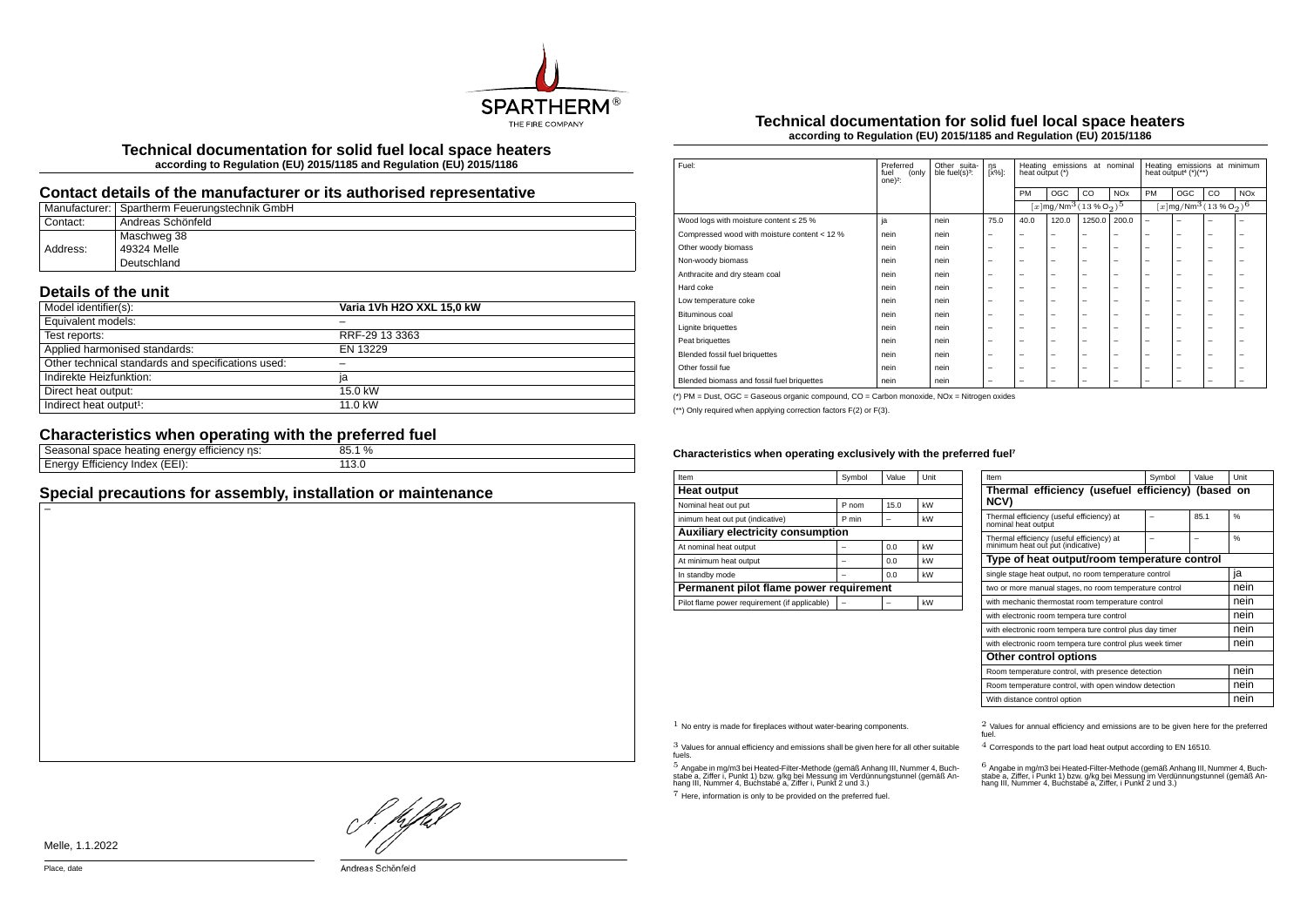

**Technical documentation for solid fuel local space heaters according to Regulation (EU) 2015/1185 and Regulation (EU) 2015/1186**

## **Contact details of the manufacturer or its authorised representative**

|          | Manufacturer:   Spartherm Feuerungstechnik GmbH |
|----------|-------------------------------------------------|
| Contact: | <sup>i</sup> Andreas Schönfeld                  |
|          | Maschweg 38                                     |
| Address: | 49324 Melle                                     |
|          | Deutschland                                     |

## **Details of the unit**

| Model identifier(s):                               | Varia 1Vh H2O XXL 15,0 kW |
|----------------------------------------------------|---------------------------|
| Equivalent models:                                 |                           |
| Test reports:                                      | RRF-29 13 3363            |
| Applied harmonised standards:                      | EN 13229                  |
| Other technical standards and specifications used: |                           |
| Indirekte Heizfunktion:                            | ia                        |
| Direct heat output:                                | 15.0 kW                   |
| Indirect heat output <sup>1</sup> :                | 11.0 kW                   |

# **Characteristics when operating with the preferred fuel**

| ns:<br>emcienc.<br>,,,,<br>neating,<br>- HP 1<br>suaut<br>וומו ונור<br>- | $\frac{0}{0}$<br>oπ<br>: ) . J |
|--------------------------------------------------------------------------|--------------------------------|
| (EEI)<br>- 1110.<br>.nae<br>rnv<br>nenc<br>⊨⊔⊨<br>ישו<br>$-$             | ___                            |
|                                                                          |                                |

## **Special precautions for assembly, installation or maintenance**

#### **Technical documentation for solid fuel local space heaters according to Regulation (EU) 2015/1185 and Regulation (EU) 2015/1186**

| Fuel:                                        | Preferred<br>fuel<br>(only<br>$one)$ <sup>2</sup> : | Other suita-<br>ble fuel(s) <sup>3</sup> : | ηs<br>[x%]:              | Heating emissions at nominal<br>heat output (*) |                                                                |        | Heating emissions at minimum<br>heat output <sup>4</sup> $(*)$ (**) |                          |                                                        |    |                       |
|----------------------------------------------|-----------------------------------------------------|--------------------------------------------|--------------------------|-------------------------------------------------|----------------------------------------------------------------|--------|---------------------------------------------------------------------|--------------------------|--------------------------------------------------------|----|-----------------------|
|                                              |                                                     |                                            |                          | PM                                              | OGC                                                            | CO     | <b>NO<sub>x</sub></b>                                               | PM                       | OGC                                                    | CO | <b>NO<sub>x</sub></b> |
|                                              |                                                     |                                            |                          |                                                 | $[x]$ mg/Nm <sup>3</sup> $(13\%$ O <sub>2</sub> ) <sup>5</sup> |        |                                                                     |                          | $[x]$ mg/Nm $^3$ $(13\%$ O <sub>2</sub> ) <sup>6</sup> |    |                       |
| Wood logs with moisture content $\leq 25$ %  | ja                                                  | nein                                       | 75.0                     | 40.0                                            | 120.0                                                          | 1250.0 | 200.0                                                               | $\overline{\phantom{0}}$ | -                                                      |    | -                     |
| Compressed wood with moisture content < 12 % | nein                                                | nein                                       | -                        | -                                               | $\overline{\phantom{a}}$                                       | -      | -                                                                   | -                        | -                                                      | -  | -                     |
| Other woody biomass                          | nein                                                | nein                                       | $\overline{\phantom{a}}$ | $\overline{\phantom{0}}$                        | $\overline{\phantom{0}}$                                       | -      | -                                                                   | -                        | -                                                      | -  | -                     |
| Non-woody biomass                            | nein                                                | nein                                       | $\overline{\phantom{a}}$ | $\overline{\phantom{0}}$                        | $\overline{\phantom{0}}$                                       | -      | -                                                                   | -                        | -                                                      | -  | -                     |
| Anthracite and dry steam coal                | nein                                                | nein                                       | $\overline{\phantom{a}}$ | $\overline{\phantom{0}}$                        | $\overline{\phantom{0}}$                                       | -      | -                                                                   | -                        | -                                                      | -  | -                     |
| Hard coke                                    | nein                                                | nein                                       | $\overline{\phantom{a}}$ | $\overline{\phantom{0}}$                        | $\overline{\phantom{0}}$                                       | -      | -                                                                   | $\overline{\phantom{0}}$ | -                                                      | -  | -                     |
| Low temperature coke                         | nein                                                | nein                                       | $\overline{\phantom{a}}$ | -                                               | $\overline{\phantom{0}}$                                       | -      | -                                                                   | -                        | -                                                      | -  | -                     |
| Bituminous coal                              | nein                                                | nein                                       | $\overline{\phantom{a}}$ | -                                               | -                                                              | -      | -                                                                   | -                        | -                                                      | -  | -                     |
| Lignite briguettes                           | nein                                                | nein                                       | $\overline{\phantom{a}}$ | $\overline{\phantom{0}}$                        | $\overline{\phantom{0}}$                                       | -      | -                                                                   | -                        | -                                                      | -  | -                     |
| Peat briquettes                              | nein                                                | nein                                       | $\overline{\phantom{a}}$ | $\overline{\phantom{0}}$                        | $\overline{\phantom{0}}$                                       | -      | -                                                                   | -                        | -                                                      | -  | -                     |
| Blended fossil fuel briquettes               | nein                                                | nein                                       | $\overline{\phantom{a}}$ | $\overline{\phantom{0}}$                        | $\overline{\phantom{0}}$                                       | -      | -                                                                   | -                        | -                                                      | -  | -                     |
| Other fossil fue                             | nein                                                | nein                                       | $\overline{\phantom{a}}$ | $\overline{\phantom{0}}$                        | $\overline{\phantom{0}}$                                       | -      | -                                                                   | $\overline{\phantom{0}}$ | -                                                      | -  | -                     |
| Blended biomass and fossil fuel briquettes   | nein                                                | nein                                       | $\overline{\phantom{m}}$ | $\overline{\phantom{0}}$                        | $\overline{\phantom{0}}$                                       | -      | -                                                                   | -                        | -                                                      | -  | -                     |
|                                              |                                                     |                                            |                          |                                                 |                                                                |        |                                                                     |                          |                                                        |    |                       |

(\*) PM = Dust, OGC = Gaseous organic compound, CO = Carbon monoxide, NOx = Nitrogen oxides

(\*\*) Only required when applying correction factors F(2) or F(3).

#### Characteristics when operating exclusively with the preferred fuel<sup>7</sup>

| Item                                          | Symbol | Value | Unit |  |  |  |
|-----------------------------------------------|--------|-------|------|--|--|--|
| <b>Heat output</b>                            |        |       |      |  |  |  |
| Nominal heat out put                          | P nom  | 15.0  | kW   |  |  |  |
| inimum heat out put (indicative)              | P min  |       | kW   |  |  |  |
| Auxiliary electricity consumption             |        |       |      |  |  |  |
| At nominal heat output                        |        | 0.0   | kW   |  |  |  |
| At minimum heat output                        |        | 0.0   | kW   |  |  |  |
| In standby mode                               |        | 0.0   | kW   |  |  |  |
| Permanent pilot flame power requirement       |        |       |      |  |  |  |
| Pilot flame power requirement (if applicable) |        |       | kW   |  |  |  |

| Item                                                                           | Symbol | Value | Unit          |  |  |  |
|--------------------------------------------------------------------------------|--------|-------|---------------|--|--|--|
| Thermal efficiency (usefuel efficiency) (based on<br>NCV)                      |        |       |               |  |  |  |
| Thermal efficiency (useful efficiency) at<br>nominal heat output               |        | 85.1  | 0/6           |  |  |  |
| Thermal efficiency (useful efficiency) at<br>minimum heat out put (indicative) |        |       | $\frac{0}{6}$ |  |  |  |
| Type of heat output/room temperature control                                   |        |       |               |  |  |  |
| single stage heat output, no room temperature control                          |        |       | ıa            |  |  |  |
| two or more manual stages, no room temperature control                         |        |       | nein          |  |  |  |
| with mechanic thermostat room temperature control                              |        |       |               |  |  |  |
| with electronic room tempera ture control                                      |        |       | nein          |  |  |  |
| with electronic room tempera ture control plus day timer                       | nein   |       |               |  |  |  |
| with electronic room tempera ture control plus week timer                      | nein   |       |               |  |  |  |
| Other control options                                                          |        |       |               |  |  |  |
| Room temperature control, with presence detection                              | nein   |       |               |  |  |  |
| Room temperature control, with open window detection                           | nein   |       |               |  |  |  |
| With distance control option                                                   |        |       | nein          |  |  |  |

3 Values for annual efficiency and emissions shall be given here for all other suitable fuels.

.<br>5 Angabe a, Ziffer i, Punkt 1) bzw. g/kg bei Messung im Verdünnungstunnel (gemäß An-<br>hang III, Nummer 4, Buchstabe a, Ziffer i, Punkt 2 und 3.)<br>hang III, Nummer 4, Buchstabe a, Ziffer i, Punkt 2 und 3.)

7 Here, information is only to be provided on the preferred fuel.

 $1$  No entry is made for fireplaces without water-bearing components.  $2$  Values for annual efficiency and emissions are to be given here for the preferred fuel.

4 Corresponds to the part load heat output according to EN 16510.

.<br>stabe a, Ziffer, i Punkt 1) bzw. g/kg bei Messung im Verdünnungstunner 4, Buch-<br>hang III, Nummer 4, Buchstabe a, Ziffer, i Punkt 2 und 3.)<br>hang III, Nummer 4, Buchstabe a, Ziffer, i Punkt 2 und 3.)

L pfhil

Melle, 1.1.2022

Place, date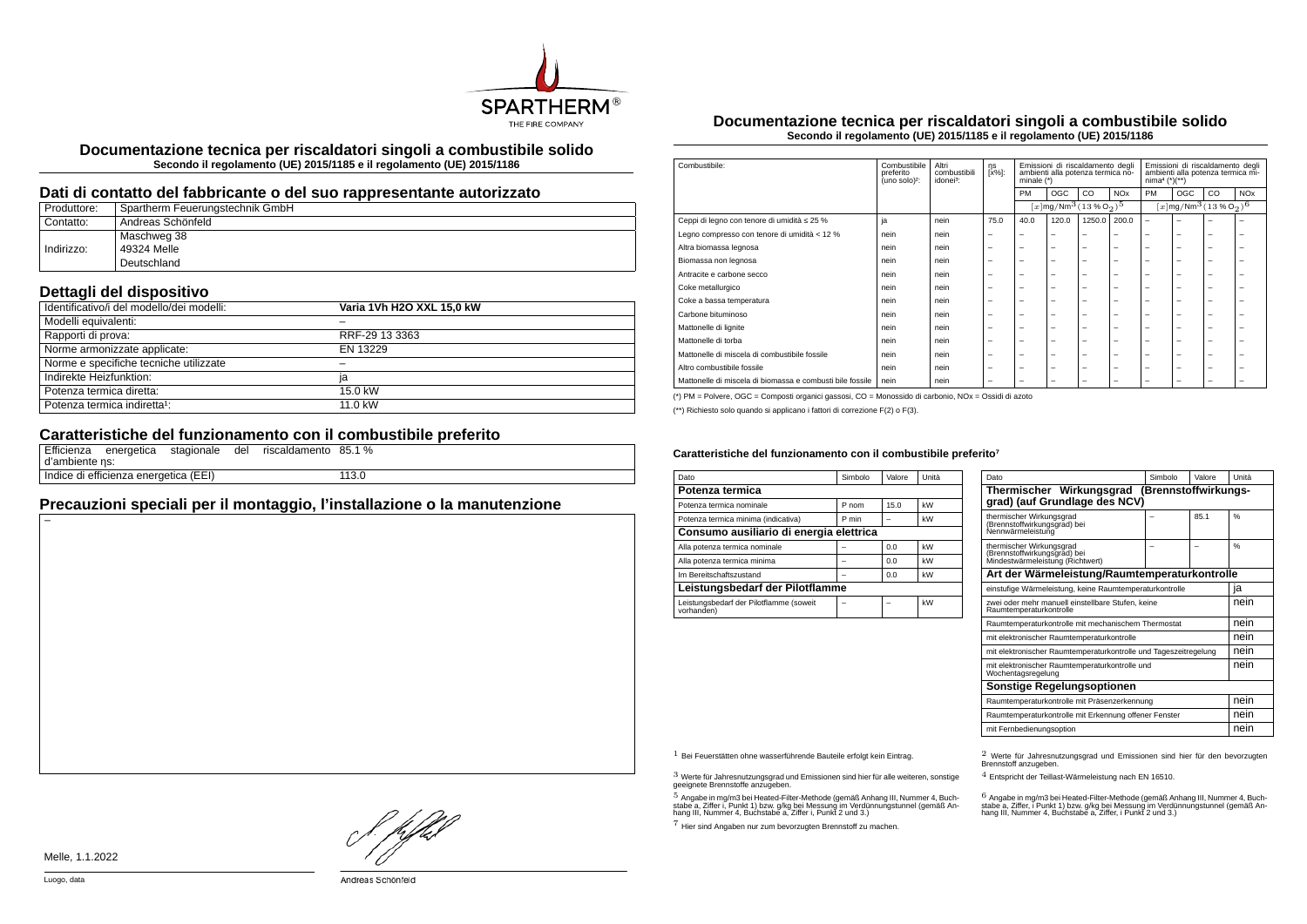

**Documentazione tecnica per riscaldatori singoli a combustibile solido Secondo il regolamento (UE) 2015/1185 e il regolamento (UE) 2015/1186**

### **Dati di contatto del fabbricante o del suo rappresentante autorizzato**

| Produttore: | Spartherm Feuerungstechnik GmbH |
|-------------|---------------------------------|
| Contatto:   | Andreas Schönfeld               |
|             | Maschweg 38                     |
| Indirizzo:  | 49324 Melle                     |
|             | Deutschland                     |

## **Dettagli del dispositivo**

| Identificativo/i del modello/dei modelli: | Varia 1Vh H2O XXL 15.0 kW |
|-------------------------------------------|---------------------------|
| Modelli equivalenti:                      |                           |
| Rapporti di prova:                        | RRF-29 13 3363            |
| Norme armonizzate applicate:              | EN 13229                  |
| Norme e specifiche tecniche utilizzate    |                           |
| Indirekte Heizfunktion:                   | ia                        |
| Potenza termica diretta:                  | 15.0 kW                   |
| Potenza termica indiretta <sup>1</sup> :  | 11.0 kW                   |

## **Caratteristiche del funzionamento con il combustibile preferito**

| d'ambiente ns: |                                       |  | Efficienza energetica stagionale del riscaldamento 85.1 % |       |  |
|----------------|---------------------------------------|--|-----------------------------------------------------------|-------|--|
|                | Indice di efficienza energetica (EEI) |  |                                                           | 113.0 |  |

# **Precauzioni speciali per il montaggio, l'installazione o la manutenzione**

**Documentazione tecnica per riscaldatori singoli a combustibile solido Secondo il regolamento (UE) 2015/1185 e il regolamento (UE) 2015/1186**

| Combustibile:                                             | Combustibile<br>preferito<br>(uno solo) <sup>2</sup> : | Altri<br>combustibili<br>idonei <sup>3</sup> : | ηs<br>[x%]:              | Emissioni di riscaldamento degli<br>ambienti alla potenza termica no-<br>minale $(*)$ |                                                       |                          | Emissioni di riscaldamento degli<br>ambienti alla potenza termica mi-<br>$nima4 (*)(**)$ |                          |                                                           |                          |                       |
|-----------------------------------------------------------|--------------------------------------------------------|------------------------------------------------|--------------------------|---------------------------------------------------------------------------------------|-------------------------------------------------------|--------------------------|------------------------------------------------------------------------------------------|--------------------------|-----------------------------------------------------------|--------------------------|-----------------------|
|                                                           |                                                        |                                                |                          | PM                                                                                    | <b>OGC</b>                                            | CO                       | <b>NO<sub>x</sub></b>                                                                    | PM                       | OGC                                                       | CO                       | <b>NO<sub>x</sub></b> |
|                                                           |                                                        |                                                |                          |                                                                                       | $[x \, \text{mg}/\text{Nm}^3 (13\,\%\,\text{O}_2)^5]$ |                          |                                                                                          |                          | $[x \, \text{mg}/\text{Nm}^3 \, (13\, \%\, \text{O}_2)^6$ |                          |                       |
| Ceppi di legno con tenore di umidità ≤ 25 %               | ja                                                     | nein                                           | 75.0                     | 40.0                                                                                  | 120.0                                                 | 1250.0                   | 200.0                                                                                    | $\overline{\phantom{0}}$ | $\overline{\phantom{0}}$                                  | ۰                        |                       |
| Legno compresso con tenore di umidità < 12 %              | nein                                                   | nein                                           | $\overline{\phantom{m}}$ | $\overline{\phantom{a}}$                                                              | $\overline{\phantom{a}}$                              | -                        | -                                                                                        | $\overline{\phantom{0}}$ | $\overline{\phantom{0}}$                                  | $\overline{\phantom{0}}$ | -                     |
| Altra biomassa legnosa                                    | nein                                                   | nein                                           | $\overline{\phantom{m}}$ | $\overline{\phantom{0}}$                                                              | $\overline{\phantom{m}}$                              | $\overline{\phantom{0}}$ | $\overline{\phantom{0}}$                                                                 | $\overline{\phantom{a}}$ | $\overline{\phantom{0}}$                                  | $\overline{\phantom{0}}$ | -                     |
| Biomassa non legnosa                                      | nein                                                   | nein                                           | $\overline{\phantom{0}}$ | $\overline{\phantom{0}}$                                                              | $\overline{\phantom{0}}$                              | -                        | -                                                                                        | $\overline{\phantom{a}}$ | $\overline{\phantom{0}}$                                  | -                        | -                     |
| Antracite e carbone secco                                 | nein                                                   | nein                                           | $\overline{\phantom{0}}$ | $\overline{\phantom{a}}$                                                              | $\overline{\phantom{a}}$                              | -                        | -                                                                                        | -                        | -                                                         | -                        |                       |
| Coke metallurgico                                         | nein                                                   | nein                                           | $\overline{\phantom{0}}$ | $\overline{\phantom{0}}$                                                              | $\overline{\phantom{a}}$                              | -                        | -                                                                                        | -                        | $\overline{\phantom{0}}$                                  | -                        |                       |
| Coke a bassa temperatura                                  | nein                                                   | nein                                           | $\overline{\phantom{0}}$ | $\overline{\phantom{0}}$                                                              | $\overline{\phantom{0}}$                              | -                        | -                                                                                        | $\overline{\phantom{0}}$ |                                                           | -                        | -                     |
| Carbone bituminoso                                        | nein                                                   | nein                                           | $\overline{\phantom{0}}$ | $\overline{\phantom{0}}$                                                              | $\overline{\phantom{0}}$                              | -                        | -                                                                                        | -                        | $\overline{\phantom{0}}$                                  | -                        |                       |
| Mattonelle di lignite                                     | nein                                                   | nein                                           | -                        | -                                                                                     | $\overline{\phantom{a}}$                              | -                        | -                                                                                        | -                        | $\overline{\phantom{0}}$                                  | ۰                        |                       |
| Mattonelle di torba                                       | nein                                                   | nein                                           | $\overline{\phantom{0}}$ | $\overline{\phantom{0}}$                                                              | $\overline{\phantom{a}}$                              | -                        | -                                                                                        | -                        | -                                                         | -                        |                       |
| Mattonelle di miscela di combustibile fossile             | nein                                                   | nein                                           | $\overline{\phantom{0}}$ | $\overline{\phantom{0}}$                                                              | $\overline{\phantom{a}}$                              | -                        | -                                                                                        | -                        | $\overline{\phantom{0}}$                                  | -                        |                       |
| Altro combustibile fossile                                | nein                                                   | nein                                           | $\overline{\phantom{0}}$ | $\overline{\phantom{0}}$                                                              | $\overline{\phantom{0}}$                              | -                        | -                                                                                        | $\overline{\phantom{a}}$ | -                                                         | -                        |                       |
| Mattonelle di miscela di biomassa e combusti bile fossile | nein                                                   | nein                                           | $\overline{\phantom{0}}$ | -                                                                                     | -                                                     | -                        | -                                                                                        | -                        | -                                                         | -                        |                       |

(\*) PM = Polvere, OGC = Composti organici gassosi, CO = Monossido di carbonio, NOx = Ossidi di azoto

(\*\*) Richiesto solo quando si applicano i fattori di correzione F(2) o F(3).

#### Caratteristiche del funzionamento con il combustibile preferito<sup>7</sup>

| Dato                                                  | Simbolo | Valore | Unità |  |  |
|-------------------------------------------------------|---------|--------|-------|--|--|
| Potenza termica                                       |         |        |       |  |  |
| Potenza termica nominale                              | P nom   | 15.0   | kW    |  |  |
| Potenza termica minima (indicativa)                   | P min   |        | kW    |  |  |
| Consumo ausiliario di energia elettrica               |         |        |       |  |  |
| Alla potenza termica nominale                         |         | 0.0    | kW    |  |  |
| Alla potenza termica minima                           |         | 0.0    | kW    |  |  |
| Im Bereitschaftszustand                               |         | 0.0    | kW    |  |  |
| Leistungsbedarf der Pilotflamme                       |         |        |       |  |  |
| Leistungsbedarf der Pilotflamme (soweit<br>vorhanden) |         |        | kW    |  |  |

| Dato                                                                                         | Simbolo | Valore | Unità |  |  |
|----------------------------------------------------------------------------------------------|---------|--------|-------|--|--|
| Thermischer Wirkungsgrad (Brennstoffwirkungs-<br>grad) (auf Grundlage des NCV)               |         |        |       |  |  |
| thermischer Wirkungsgrad<br>(Brennstoffwirkungsgrad) bei<br>Nennwärmeleistung                |         | 85.1   | %     |  |  |
| thermischer Wirkungsgrad<br>(Brennstoffwirkungsgrad) bei<br>Mindestwärmeleistung (Richtwert) |         |        | 0/6   |  |  |
| Art der Wärmeleistung/Raumtemperaturkontrolle                                                |         |        |       |  |  |
| einstufige Wärmeleistung, keine Raumtemperaturkontrolle                                      |         |        | ia    |  |  |
| zwei oder mehr manuell einstellbare Stufen, keine<br>Raumtemperaturkontrolle                 |         |        | nein  |  |  |
| Raumtemperaturkontrolle mit mechanischem Thermostat                                          |         |        | nein  |  |  |
| mit elektronischer Raumtemperaturkontrolle                                                   |         |        | nein  |  |  |
| mit elektronischer Raumtemperaturkontrolle und Tageszeitregelung                             |         |        | nein  |  |  |
| mit elektronischer Raumtemperaturkontrolle und<br>Wochentagsregelung                         |         |        |       |  |  |
| Sonstige Regelungsoptionen                                                                   |         |        |       |  |  |
| Raumtemperaturkontrolle mit Präsenzerkennung                                                 | nein    |        |       |  |  |
| Raumtemperaturkontrolle mit Erkennung offener Fenster                                        |         |        | nein  |  |  |
| mit Fernbedienungsoption                                                                     |         |        |       |  |  |

3 Werte für Jahresnutzungsgrad und Emissionen sind hier für alle weiteren, sonstige geeignete Brennstoffe anzugeben.

.<br>5 Angabe in mg/m3 bei Heated-Filter-Methode (gemäß Anhang III, Nummer 4, Buch-<br>stabe a, Ziffer i, Punkt 1) bzw. g/kg bei Nessung im Verdünnungstunnel (gemäß An-<br>hang III, Nummer 4, Buchstabe a, Ziffer i, Punkt 2 und 3.)

7 Hier sind Angaben nur zum bevorzugten Brennstoff zu machen.

1 Bei Feuerstätten ohne wasserführende Bauteile erfolgt kein Eintrag. 2 Werte für Jahresnutzungsgrad und Emissionen sind hier für den bevorzugten Brennstoff anzugeben.

4 Entspricht der Teillast-Wärmeleistung nach EN 16510.

.<br>stabe a, Ziffer, i Punkt 1) bzw. g/kg bei Messung im Verdünnungstunnel (gemäß An-<br>hang III, Nummer 4, Buchstabe a, Ziffer, i Punkt 2 und 3.)<br>hang III, Nummer 4, Buchstabe a, Ziffer, i Punkt 2 und 3.)

Melle, 1.1.2022

HJEV